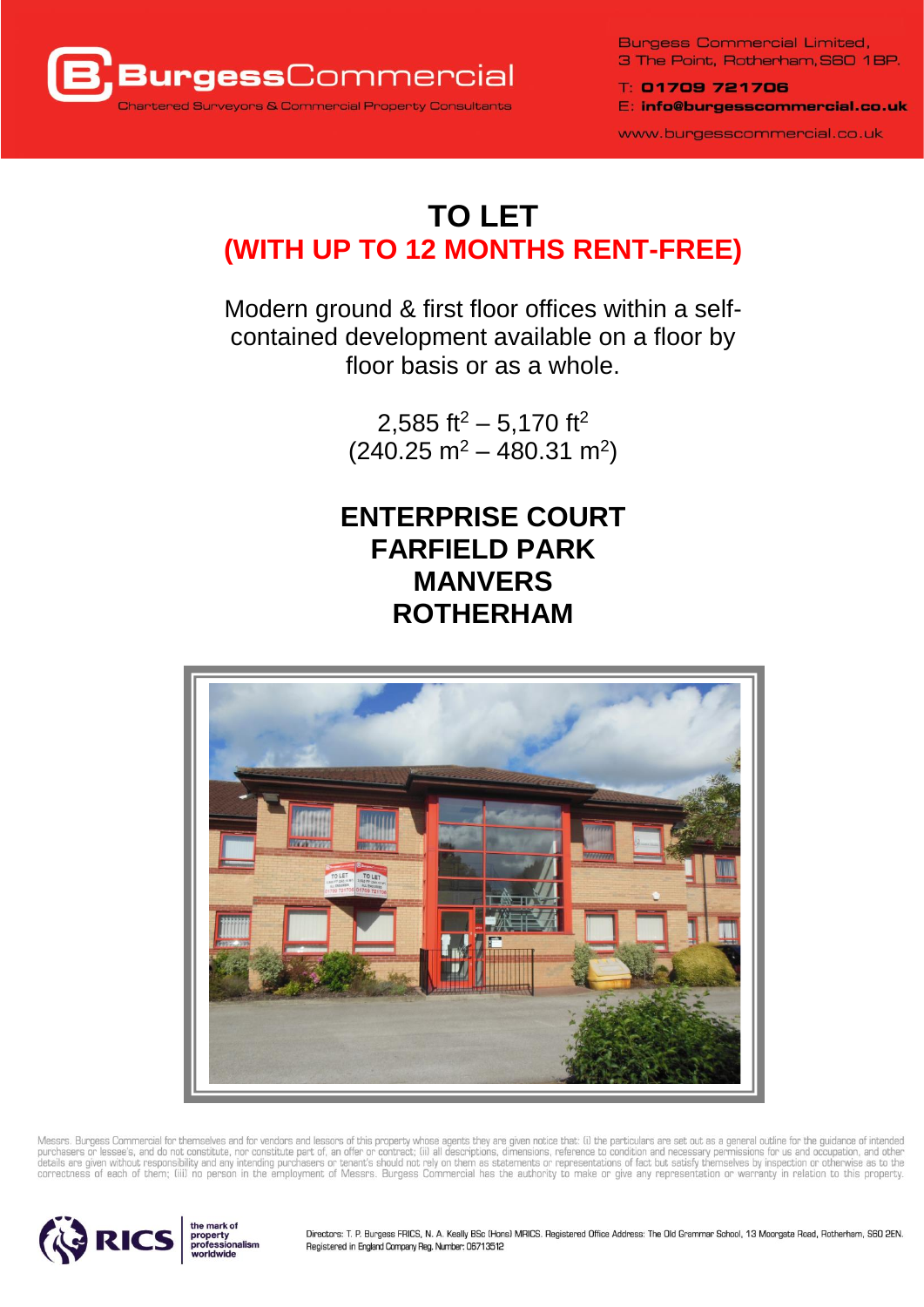

**Burgess Commercial Limited,** 3 The Point, Rotherham, S60 1BP.

T: 01709 721706 E: info@burgesscommercial.co.uk

www.burgesscommercial.co.uk

# **TO LET (WITH UP TO 12 MONTHS RENT-FREE)**

Modern ground & first floor offices within a selfcontained development available on a floor by floor basis or as a whole.

> 2,585 ft<sup>2</sup> – 5,170 ft<sup>2</sup>  $(240.25 \text{ m}^2 - 480.31 \text{ m}^2)$

# **ENTERPRISE COURT FARFIELD PARK MANVERS ROTHERHAM**



Messrs. Burgess Commercial for themselves and for vendors and lessors of this property whose agents they are given notice that: (i) the particulars are set out as a general outline for the guidance of intended<br>purchasers o



Directors: T. P. Burgess FRICS, N. A. Keally BSc (Hons) MRICS. Registered Office Address: The Old Grammar School, 13 Moorgate Road, Rotherham, S60 2EN. Registered in England Company Reg. Number: 06713512